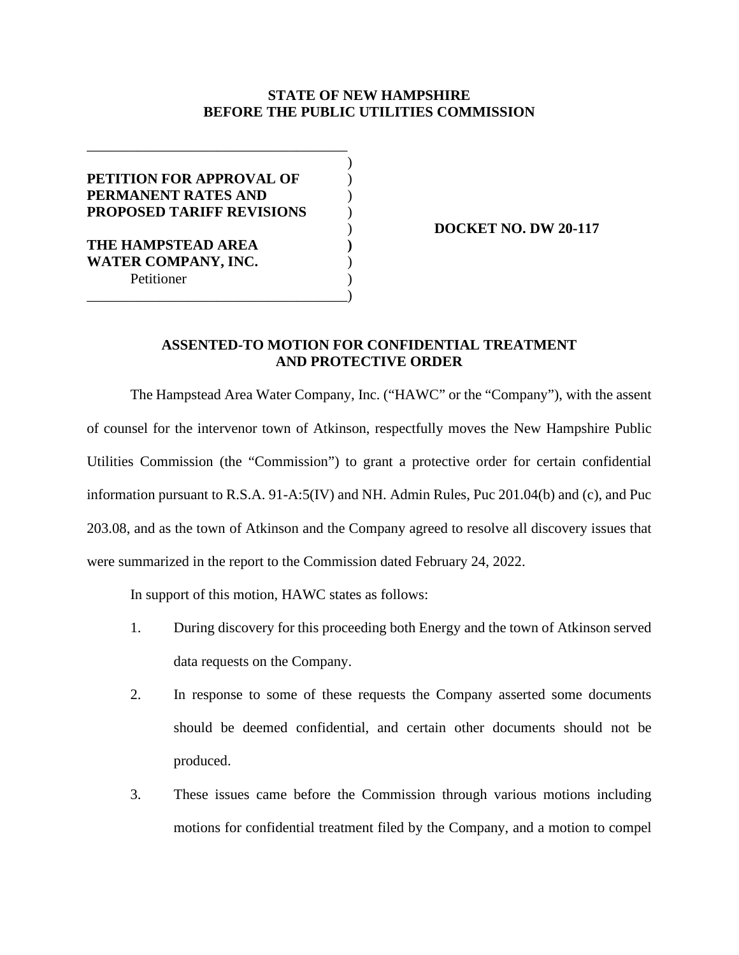## **STATE OF NEW HAMPSHIRE BEFORE THE PUBLIC UTILITIES COMMISSION**

| PETITION FOR APPROVAL OF         |  |
|----------------------------------|--|
| PERMANENT RATES AND              |  |
| <b>PROPOSED TARIFF REVISIONS</b> |  |
|                                  |  |
| THE HAMPSTEAD AREA               |  |
| <b>WATER COMPANY, INC.</b>       |  |
| Petitioner                       |  |
|                                  |  |

) **DOCKET NO. DW 20-117**

## **ASSENTED-TO MOTION FOR CONFIDENTIAL TREATMENT AND PROTECTIVE ORDER**

The Hampstead Area Water Company, Inc. ("HAWC" or the "Company"), with the assent of counsel for the intervenor town of Atkinson, respectfully moves the New Hampshire Public Utilities Commission (the "Commission") to grant a protective order for certain confidential information pursuant to R.S.A. 91-A:5(IV) and NH. Admin Rules, Puc 201.04(b) and (c), and Puc 203.08, and as the town of Atkinson and the Company agreed to resolve all discovery issues that were summarized in the report to the Commission dated February 24, 2022.

In support of this motion, HAWC states as follows:

- 1. During discovery for this proceeding both Energy and the town of Atkinson served data requests on the Company.
- 2. In response to some of these requests the Company asserted some documents should be deemed confidential, and certain other documents should not be produced.
- 3. These issues came before the Commission through various motions including motions for confidential treatment filed by the Company, and a motion to compel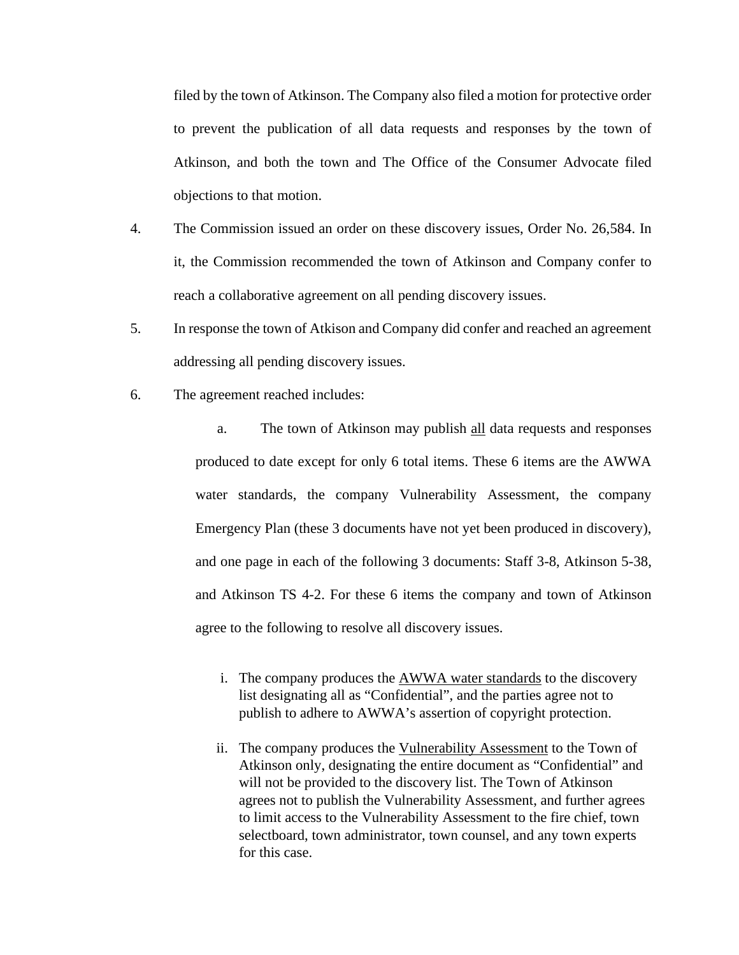filed by the town of Atkinson. The Company also filed a motion for protective order to prevent the publication of all data requests and responses by the town of Atkinson, and both the town and The Office of the Consumer Advocate filed objections to that motion.

- 4. The Commission issued an order on these discovery issues, Order No. 26,584. In it, the Commission recommended the town of Atkinson and Company confer to reach a collaborative agreement on all pending discovery issues.
- 5. In response the town of Atkison and Company did confer and reached an agreement addressing all pending discovery issues.
- 6. The agreement reached includes:

a. The town of Atkinson may publish all data requests and responses produced to date except for only 6 total items. These 6 items are the AWWA water standards, the company Vulnerability Assessment, the company Emergency Plan (these 3 documents have not yet been produced in discovery), and one page in each of the following 3 documents: Staff 3-8, Atkinson 5-38, and Atkinson TS 4-2. For these 6 items the company and town of Atkinson agree to the following to resolve all discovery issues.

- i. The company produces the **AWWA** water standards to the discovery list designating all as "Confidential", and the parties agree not to publish to adhere to AWWA's assertion of copyright protection.
- ii. The company produces the Vulnerability Assessment to the Town of Atkinson only, designating the entire document as "Confidential" and will not be provided to the discovery list. The Town of Atkinson agrees not to publish the Vulnerability Assessment, and further agrees to limit access to the Vulnerability Assessment to the fire chief, town selectboard, town administrator, town counsel, and any town experts for this case.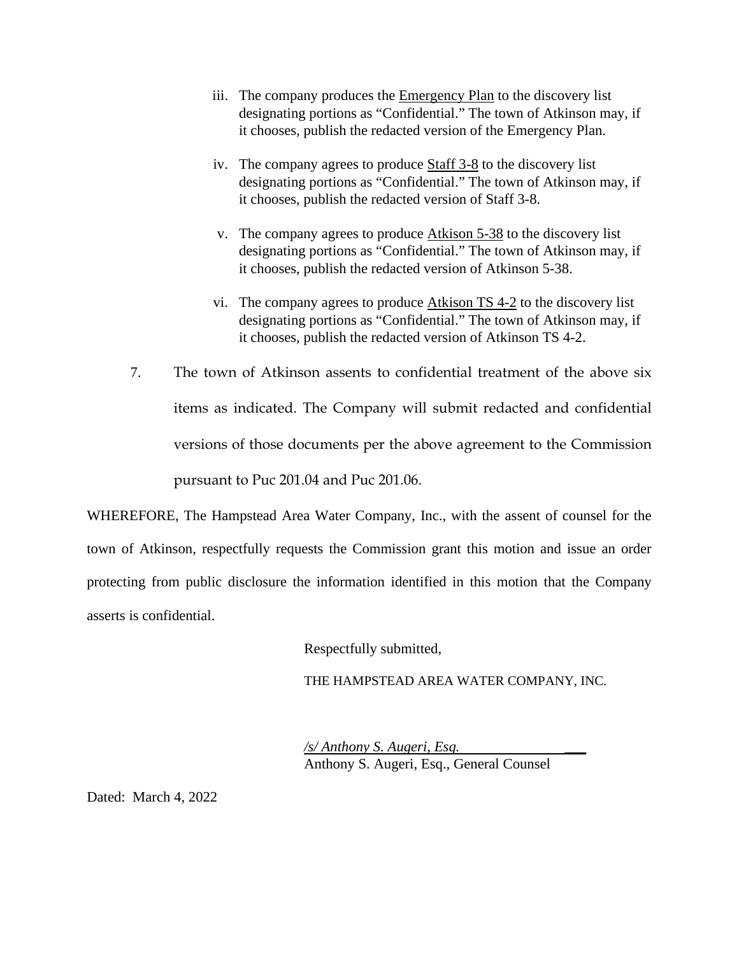- iii. The company produces the Emergency Plan to the discovery list designating portions as "Confidential." The town of Atkinson may, if it chooses, publish the redacted version of the Emergency Plan.
- iv. The company agrees to produce Staff 3-8 to the discovery list designating portions as "Confidential." The town of Atkinson may, if it chooses, publish the redacted version of Staff 3-8.
- v. The company agrees to produce Atkison 5-38 to the discovery list designating portions as "Confidential." The town of Atkinson may, if it chooses, publish the redacted version of Atkinson 5-38.
- vi. The company agrees to produce Atkison TS 4-2 to the discovery list designating portions as "Confidential." The town of Atkinson may, if it chooses, publish the redacted version of Atkinson TS 4-2.
- 7. The town of Atkinson assents to confidential treatment of the above six items as indicated. The Company will submit redacted and confidential versions of those documents per the above agreement to the Commission pursuant to Puc 201.04 and Puc 201.06.

WHEREFORE, The Hampstead Area Water Company, Inc., with the assent of counsel for the town of Atkinson, respectfully requests the Commission grant this motion and issue an order protecting from public disclosure the information identified in this motion that the Company asserts is confidential.

Respectfully submitted,

THE HAMPSTEAD AREA WATER COMPANY, INC.

*/s/ Anthony S. Augeri, Esq.* \_\_\_ Anthony S. Augeri, Esq., General Counsel

Dated: March 4, 2022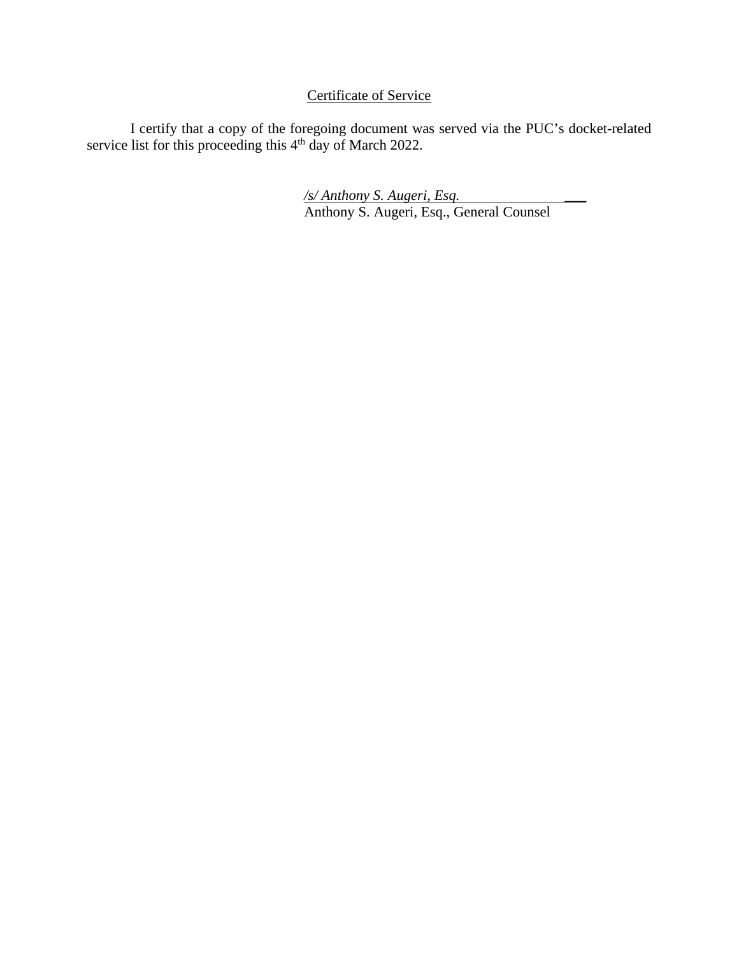## Certificate of Service

I certify that a copy of the foregoing document was served via the PUC's docket-related service list for this proceeding this 4<sup>th</sup> day of March 2022.

> */s/ Anthony S. Augeri, Esq.* \_\_\_ Anthony S. Augeri, Esq., General Counsel